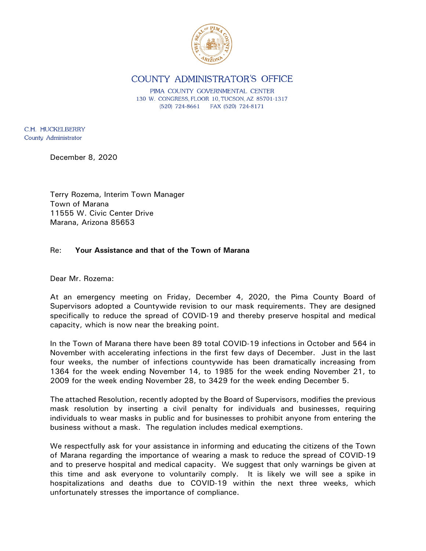

COUNTY ADMINISTRATOR'S OFFICE

PIMA COUNTY GOVERNMENTAL CENTER 130 W. CONGRESS, FLOOR 10, TUCSON, AZ 85701-1317  $(520)$  724-8661 FAX (520) 724-8171

C.H. HUCKELBERRY County Administrator

December 8, 2020

Terry Rozema, Interim Town Manager Town of Marana 11555 W. Civic Center Drive Marana, Arizona 85653

## Re: **Your Assistance and that of the Town of Marana**

Dear Mr. Rozema:

At an emergency meeting on Friday, December 4, 2020, the Pima County Board of Supervisors adopted a Countywide revision to our mask requirements. They are designed specifically to reduce the spread of COVID-19 and thereby preserve hospital and medical capacity, which is now near the breaking point.

In the Town of Marana there have been 89 total COVID-19 infections in October and 564 in November with accelerating infections in the first few days of December. Just in the last four weeks, the number of infections countywide has been dramatically increasing from 1364 for the week ending November 14, to 1985 for the week ending November 21, to 2009 for the week ending November 28, to 3429 for the week ending December 5.

The attached Resolution, recently adopted by the Board of Supervisors, modifies the previous mask resolution by inserting a civil penalty for individuals and businesses, requiring individuals to wear masks in public and for businesses to prohibit anyone from entering the business without a mask. The regulation includes medical exemptions.

We respectfully ask for your assistance in informing and educating the citizens of the Town of Marana regarding the importance of wearing a mask to reduce the spread of COVID-19 and to preserve hospital and medical capacity. We suggest that only warnings be given at this time and ask everyone to voluntarily comply. It is likely we will see a spike in hospitalizations and deaths due to COVID-19 within the next three weeks, which unfortunately stresses the importance of compliance.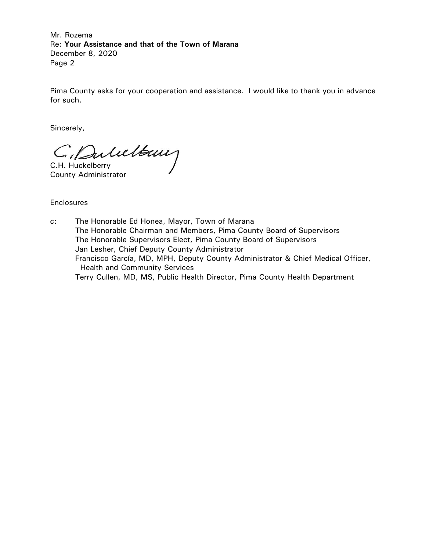Mr. Rozema Re: **Your Assistance and that of the Town of Marana** December 8, 2020 Page 2

Pima County asks for your cooperation and assistance. I would like to thank you in advance for such.

Sincerely,

C. Dulultaux

County Administrator

**Enclosures** 

c: The Honorable Ed Honea, Mayor, Town of Marana The Honorable Chairman and Members, Pima County Board of Supervisors The Honorable Supervisors Elect, Pima County Board of Supervisors Jan Lesher, Chief Deputy County Administrator Francisco García, MD, MPH, Deputy County Administrator & Chief Medical Officer, Health and Community Services Terry Cullen, MD, MS, Public Health Director, Pima County Health Department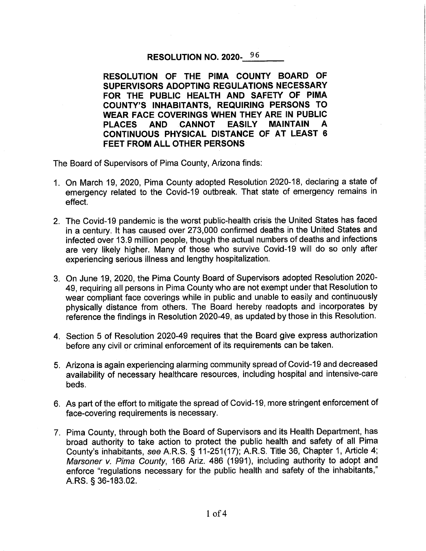## RESOLUTION NO. 2020-96

RESOLUTION OF THE PIMA COUNTY BOARD OF SUPERVISORS ADOPTING REGULATIONS NECESSARY FOR THE PUBLIC HEALTH AND SAFETY OF PIMA **COUNTY'S INHABITANTS, REQUIRING PERSONS TO** WEAR FACE COVERINGS WHEN THEY ARE IN PUBLIC **PLACES** AND CANNOT **EASILY MAINTAIN** A CONTINUOUS PHYSICAL DISTANCE OF AT LEAST 6 **FEET FROM ALL OTHER PERSONS** 

The Board of Supervisors of Pima County, Arizona finds:

- 1. On March 19, 2020, Pima County adopted Resolution 2020-18, declaring a state of emergency related to the Covid-19 outbreak. That state of emergency remains in effect.
- 2. The Covid-19 pandemic is the worst public-health crisis the United States has faced in a century. It has caused over 273,000 confirmed deaths in the United States and infected over 13.9 million people, though the actual numbers of deaths and infections are very likely higher. Many of those who survive Covid-19 will do so only after experiencing serious illness and lengthy hospitalization.
- 3. On June 19, 2020, the Pima County Board of Supervisors adopted Resolution 2020-49, requiring all persons in Pima County who are not exempt under that Resolution to wear compliant face coverings while in public and unable to easily and continuously physically distance from others. The Board hereby readopts and incorporates by reference the findings in Resolution 2020-49, as updated by those in this Resolution.
- 4. Section 5 of Resolution 2020-49 requires that the Board give express authorization before any civil or criminal enforcement of its requirements can be taken.
- 5. Arizona is again experiencing alarming community spread of Covid-19 and decreased availability of necessary healthcare resources, including hospital and intensive-care beds.
- 6. As part of the effort to mitigate the spread of Covid-19, more stringent enforcement of face-covering requirements is necessary.
- 7. Pima County, through both the Board of Supervisors and its Health Department, has broad authority to take action to protect the public health and safety of all Pima County's inhabitants, see A.R.S. § 11-251(17); A.R.S. Title 36, Chapter 1, Article 4; Marsoner v. Pima County, 166 Ariz. 486 (1991), including authority to adopt and enforce "regulations necessary for the public health and safety of the inhabitants," A.RS. § 36-183.02.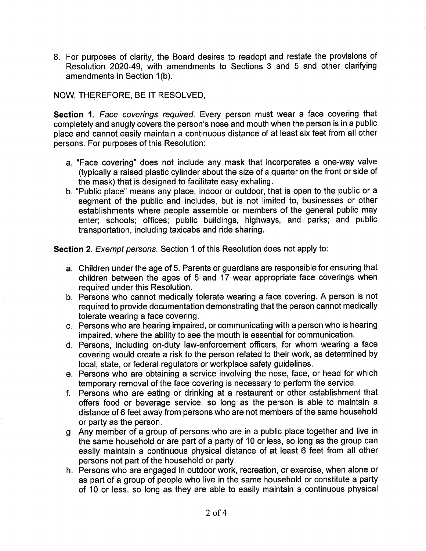8. For purposes of clarity, the Board desires to readopt and restate the provisions of Resolution 2020-49, with amendments to Sections 3 and 5 and other clarifying amendments in Section 1(b).

## NOW, THEREFORE, BE IT RESOLVED,

Section 1. Face coverings required. Every person must wear a face covering that completely and snugly covers the person's nose and mouth when the person is in a public place and cannot easily maintain a continuous distance of at least six feet from all other persons. For purposes of this Resolution:

- a. "Face covering" does not include any mask that incorporates a one-way valve (typically a raised plastic cylinder about the size of a quarter on the front or side of the mask) that is designed to facilitate easy exhaling.
- b. "Public place" means any place, indoor or outdoor, that is open to the public or a segment of the public and includes, but is not limited to, businesses or other establishments where people assemble or members of the general public may enter; schools; offices; public buildings, highways, and parks; and public transportation, including taxicabs and ride sharing.

Section 2. Exempt persons. Section 1 of this Resolution does not apply to:

- a. Children under the age of 5. Parents or guardians are responsible for ensuring that children between the ages of 5 and 17 wear appropriate face coverings when required under this Resolution.
- b. Persons who cannot medically tolerate wearing a face covering. A person is not required to provide documentation demonstrating that the person cannot medically tolerate wearing a face covering.
- c. Persons who are hearing impaired, or communicating with a person who is hearing impaired, where the ability to see the mouth is essential for communication.
- d. Persons, including on-duty law-enforcement officers, for whom wearing a face covering would create a risk to the person related to their work, as determined by local, state, or federal regulators or workplace safety guidelines.
- e. Persons who are obtaining a service involving the nose, face, or head for which temporary removal of the face covering is necessary to perform the service.
- f. Persons who are eating or drinking at a restaurant or other establishment that offers food or beverage service, so long as the person is able to maintain a distance of 6 feet away from persons who are not members of the same household or party as the person.
- g. Any member of a group of persons who are in a public place together and live in the same household or are part of a party of 10 or less, so long as the group can easily maintain a continuous physical distance of at least 6 feet from all other persons not part of the household or party.
- h. Persons who are engaged in outdoor work, recreation, or exercise, when alone or as part of a group of people who live in the same household or constitute a party of 10 or less, so long as they are able to easily maintain a continuous physical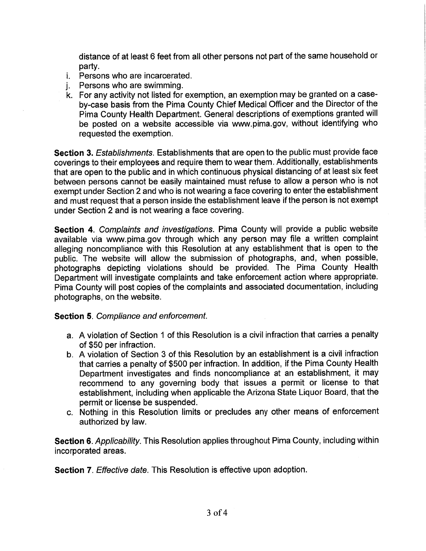distance of at least 6 feet from all other persons not part of the same household or partv.

- *i.* Persons who are incarcerated.
- Persons who are swimming. i.
- k. For any activity not listed for exemption, an exemption may be granted on a caseby-case basis from the Pima County Chief Medical Officer and the Director of the Pima County Health Department. General descriptions of exemptions granted will be posted on a website accessible via www.pima.gov, without identifying who requested the exemption.

Section 3. Establishments. Establishments that are open to the public must provide face coverings to their employees and require them to wear them. Additionally, establishments that are open to the public and in which continuous physical distancing of at least six feet between persons cannot be easily maintained must refuse to allow a person who is not exempt under Section 2 and who is not wearing a face covering to enter the establishment and must request that a person inside the establishment leave if the person is not exempt under Section 2 and is not wearing a face covering.

Section 4. Complaints and investigations. Pima County will provide a public website available via www.pima.gov through which any person may file a written complaint alleging noncompliance with this Resolution at any establishment that is open to the public. The website will allow the submission of photographs, and, when possible, photographs depicting violations should be provided. The Pima County Health Department will investigate complaints and take enforcement action where appropriate. Pima County will post copies of the complaints and associated documentation, including photographs, on the website.

## **Section 5. Compliance and enforcement.**

- a. A violation of Section 1 of this Resolution is a civil infraction that carries a penalty of \$50 per infraction.
- b. A violation of Section 3 of this Resolution by an establishment is a civil infraction that carries a penalty of \$500 per infraction. In addition, if the Pima County Health Department investigates and finds noncompliance at an establishment, it may recommend to any governing body that issues a permit or license to that establishment, including when applicable the Arizona State Liquor Board, that the permit or license be suspended.
- c. Nothing in this Resolution limits or precludes any other means of enforcement authorized by law.

Section 6. Applicability. This Resolution applies throughout Pima County, including within incorporated areas.

**Section 7.** Effective date. This Resolution is effective upon adoption.